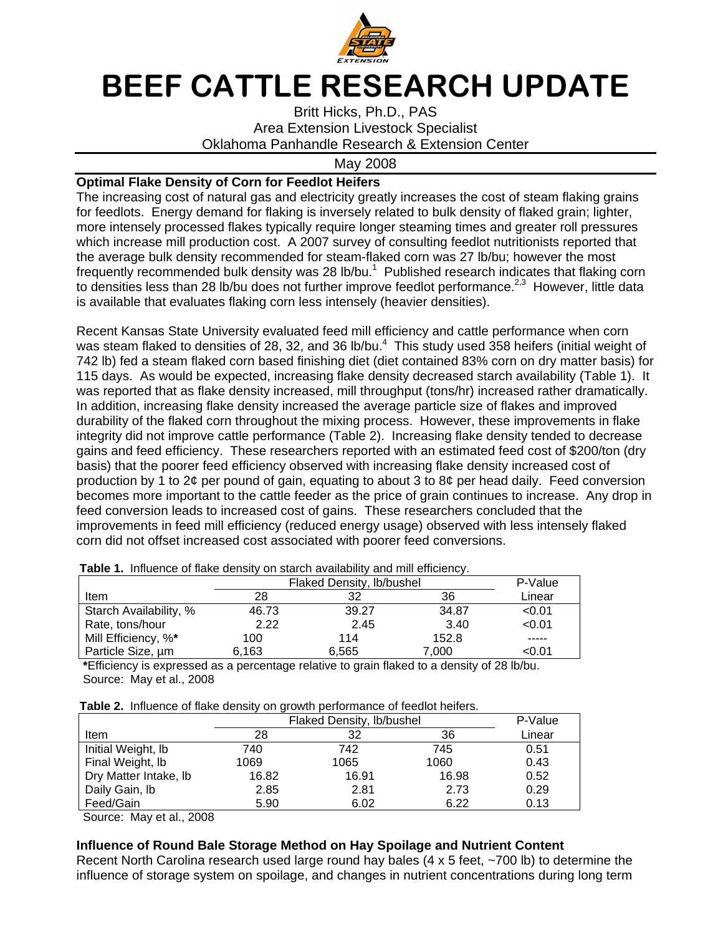

# BEEF CATTLE RESEARCH UPDATE

Britt Hicks, Ph.D., PAS Area Extension Livestock Specialist Oklahoma Panhandle Research & Extension Center

#### May 2008

## **Optimal Flake Density of Corn for Feedlot Heifers**

The increasing cost of natural gas and electricity greatly increases the cost of steam flaking grains for feedlots. Energy demand for flaking is inversely related to bulk density of flaked grain; lighter, more intensely processed flakes typically require longer steaming times and greater roll pressures which increase mill production cost. A 2007 survey of consulting feedlot nutritionists reported that the average bulk density recommended for steam-flaked corn was 27 lb/bu; however the most frequently recommended bulk density was 28 lb/bu. $1$  Published research indicates that flaking corn to densities less than 28 lb/bu does not further improve feedlot performance.<sup>2,3</sup> However, little data is available that evaluates flaking corn less intensely (heavier densities).

Recent Kansas State University evaluated feed mill efficiency and cattle performance when corn was steam flaked to densities of 28, 32, and 36 lb/bu. $^4$  This study used 358 heifers (initial weight of 742 lb) fed a steam flaked corn based finishing diet (diet contained 83% corn on dry matter basis) for 115 days. As would be expected, increasing flake density decreased starch availability (Table 1). It was reported that as flake density increased, mill throughput (tons/hr) increased rather dramatically. In addition, increasing flake density increased the average particle size of flakes and improved durability of the flaked corn throughout the mixing process. However, these improvements in flake integrity did not improve cattle performance (Table 2). Increasing flake density tended to decrease gains and feed efficiency. These researchers reported with an estimated feed cost of \$200/ton (dry basis) that the poorer feed efficiency observed with increasing flake density increased cost of production by 1 to 2¢ per pound of gain, equating to about 3 to 8¢ per head daily. Feed conversion becomes more important to the cattle feeder as the price of grain continues to increase. Any drop in feed conversion leads to increased cost of gains. These researchers concluded that the improvements in feed mill efficiency (reduced energy usage) observed with less intensely flaked corn did not offset increased cost associated with poorer feed conversions.

|                        | Flaked Density, Ib/bushel | P-Value |       |        |
|------------------------|---------------------------|---------|-------|--------|
| Item                   | 28                        | 32      | 36    | Linear |
| Starch Availability, % | 46.73                     | 39.27   | 34.87 | < 0.01 |
| Rate, tons/hour        | 2.22                      | 2.45    | 3.40  | < 0.01 |
| Mill Efficiency, %*    | 100                       | 114     | 152.8 | -----  |
| Particle Size, um      | 6.163                     | 6.565   | 7.000 | <0.01  |

 **Table 1.** Influence of flake density on starch availability and mill efficiency.

 **\***Efficiency is expressed as a percentage relative to grain flaked to a density of 28 lb/bu. Source: May et al., 2008

|  |  |  | Table 2. Influence of flake density on growth performance of feedlot heifers. |
|--|--|--|-------------------------------------------------------------------------------|
|  |  |  |                                                                               |

|                       | Flaked Density, Ib/bushel | P-Value |       |        |
|-----------------------|---------------------------|---------|-------|--------|
| Item                  | 28                        | 32      | 36    | Linear |
| Initial Weight, Ib    | 740                       | 742     | 745   | 0.51   |
| Final Weight, Ib      | 1069                      | 1065    | 1060  | 0.43   |
| Dry Matter Intake, Ib | 16.82                     | 16.91   | 16.98 | 0.52   |
| Daily Gain, lb        | 2.85                      | 2.81    | 2.73  | 0.29   |
| Feed/Gain             | 5.90                      | 6.02    | 6.22  | 0.13   |

Source: May et al., 2008

## **Influence of Round Bale Storage Method on Hay Spoilage and Nutrient Content**

Recent North Carolina research used large round hay bales (4 x 5 feet, ~700 lb) to determine the influence of storage system on spoilage, and changes in nutrient concentrations during long term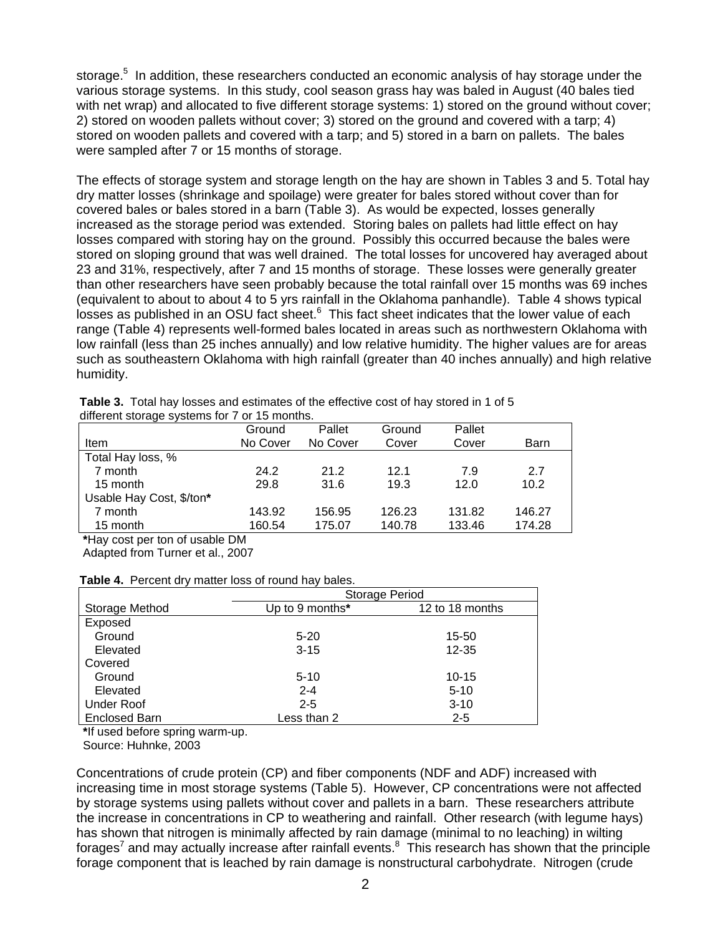storage.<sup>5</sup> In addition, these researchers conducted an economic analysis of hay storage under the various storage systems. In this study, cool season grass hay was baled in August (40 bales tied with net wrap) and allocated to five different storage systems: 1) stored on the ground without cover; 2) stored on wooden pallets without cover; 3) stored on the ground and covered with a tarp; 4) stored on wooden pallets and covered with a tarp; and 5) stored in a barn on pallets. The bales were sampled after 7 or 15 months of storage.

The effects of storage system and storage length on the hay are shown in Tables 3 and 5. Total hay dry matter losses (shrinkage and spoilage) were greater for bales stored without cover than for covered bales or bales stored in a barn (Table 3). As would be expected, losses generally increased as the storage period was extended. Storing bales on pallets had little effect on hay losses compared with storing hay on the ground. Possibly this occurred because the bales were stored on sloping ground that was well drained. The total losses for uncovered hay averaged about 23 and 31%, respectively, after 7 and 15 months of storage. These losses were generally greater than other researchers have seen probably because the total rainfall over 15 months was 69 inches (equivalent to about to about 4 to 5 yrs rainfall in the Oklahoma panhandle). Table 4 shows typical losses as published in an OSU fact sheet. $6$  This fact sheet indicates that the lower value of each range (Table 4) represents well-formed bales located in areas such as northwestern Oklahoma with low rainfall (less than 25 inches annually) and low relative humidity. The higher values are for areas such as southeastern Oklahoma with high rainfall (greater than 40 inches annually) and high relative humidity.

| different storage systems for 7 or 15 months. |          |          |        |        |                   |  |
|-----------------------------------------------|----------|----------|--------|--------|-------------------|--|
|                                               | Ground   | Pallet   | Ground | Pallet |                   |  |
| Item                                          | No Cover | No Cover | Cover  | Cover  | Barn              |  |
| Total Hay loss, %                             |          |          |        |        |                   |  |
| 7 month                                       | 24.2     | 21.2     | 12.1   | 7.9    | 2.7               |  |
| 15 month                                      | 29.8     | 31.6     | 19.3   | 12.0   | 10.2 <sub>2</sub> |  |
| Usable Hay Cost, \$/ton*                      |          |          |        |        |                   |  |
| 7 month                                       | 143.92   | 156.95   | 126.23 | 131.82 | 146.27            |  |
| 15 month                                      | 160.54   | 175.07   | 140.78 | 133.46 | 174.28            |  |
| .<br>$\overline{\phantom{a}}$                 |          |          |        |        |                   |  |

 **Table 3.** Total hay losses and estimates of the effective cost of hay stored in 1 of 5 different storage systems for 7 or 15 months.

 **\***Hay cost per ton of usable DM

Adapted from Turner et al., 2007

#### **Table 4.** Percent dry matter loss of round hay bales.

|                      | Storage Period  |                 |  |  |
|----------------------|-----------------|-----------------|--|--|
| Storage Method       | Up to 9 months* | 12 to 18 months |  |  |
| Exposed              |                 |                 |  |  |
| Ground               | $5 - 20$        | 15-50           |  |  |
| Elevated             | $3 - 15$        | 12-35           |  |  |
| Covered              |                 |                 |  |  |
| Ground               | $5 - 10$        | $10 - 15$       |  |  |
| Elevated             | $2 - 4$         | $5 - 10$        |  |  |
| Under Roof           | $2 - 5$         | $3 - 10$        |  |  |
| <b>Enclosed Barn</b> | Less than 2     | $2 - 5$         |  |  |

 **\***If used before spring warm-up.

Source: Huhnke, 2003

Concentrations of crude protein (CP) and fiber components (NDF and ADF) increased with increasing time in most storage systems (Table 5). However, CP concentrations were not affected by storage systems using pallets without cover and pallets in a barn. These researchers attribute the increase in concentrations in CP to weathering and rainfall. Other research (with legume hays) has shown that nitrogen is minimally affected by rain damage (minimal to no leaching) in wilting forages<sup>7</sup> and may actually increase after rainfall events.<sup>8</sup> This research has shown that the principle forage component that is leached by rain damage is nonstructural carbohydrate. Nitrogen (crude